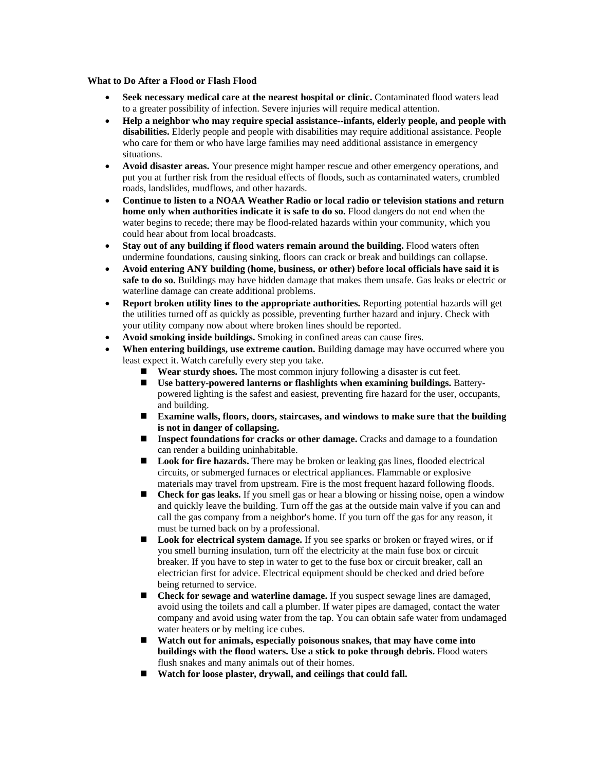## **What to Do After a Flood or Flash Flood**

- **Seek necessary medical care at the nearest hospital or clinic.** Contaminated flood waters lead to a greater possibility of infection. Severe injuries will require medical attention.
- **Help a neighbor who may require special assistance--infants, elderly people, and people with disabilities.** Elderly people and people with disabilities may require additional assistance. People who care for them or who have large families may need additional assistance in emergency situations.
- **Avoid disaster areas.** Your presence might hamper rescue and other emergency operations, and put you at further risk from the residual effects of floods, such as contaminated waters, crumbled roads, landslides, mudflows, and other hazards.
- **Continue to listen to a NOAA Weather Radio or local radio or television stations and return home only when authorities indicate it is safe to do so.** Flood dangers do not end when the water begins to recede; there may be flood-related hazards within your community, which you could hear about from local broadcasts.
- **Stay out of any building if flood waters remain around the building.** Flood waters often undermine foundations, causing sinking, floors can crack or break and buildings can collapse.
- **Avoid entering ANY building (home, business, or other) before local officials have said it is safe to do so.** Buildings may have hidden damage that makes them unsafe. Gas leaks or electric or waterline damage can create additional problems.
- **Report broken utility lines to the appropriate authorities.** Reporting potential hazards will get the utilities turned off as quickly as possible, preventing further hazard and injury. Check with your utility company now about where broken lines should be reported.
- **Avoid smoking inside buildings.** Smoking in confined areas can cause fires.
- **When entering buildings, use extreme caution.** Building damage may have occurred where you least expect it. Watch carefully every step you take.
	- ! **Wear sturdy shoes.** The most common injury following a disaster is cut feet.
	- ! **Use battery-powered lanterns or flashlights when examining buildings.** Batterypowered lighting is the safest and easiest, preventing fire hazard for the user, occupants, and building.
	- ! **Examine walls, floors, doors, staircases, and windows to make sure that the building is not in danger of collapsing.**
	- **Inspect foundations for cracks or other damage.** Cracks and damage to a foundation can render a building uninhabitable.
	- Look for fire hazards. There may be broken or leaking gas lines, flooded electrical circuits, or submerged furnaces or electrical appliances. Flammable or explosive materials may travel from upstream. Fire is the most frequent hazard following floods.
	- $\blacksquare$  **Check for gas leaks.** If you smell gas or hear a blowing or hissing noise, open a window and quickly leave the building. Turn off the gas at the outside main valve if you can and call the gas company from a neighbor's home. If you turn off the gas for any reason, it must be turned back on by a professional.
	- ! **Look for electrical system damage.** If you see sparks or broken or frayed wires, or if you smell burning insulation, turn off the electricity at the main fuse box or circuit breaker. If you have to step in water to get to the fuse box or circuit breaker, call an electrician first for advice. Electrical equipment should be checked and dried before being returned to service.
	- ! **Check for sewage and waterline damage.** If you suspect sewage lines are damaged, avoid using the toilets and call a plumber. If water pipes are damaged, contact the water company and avoid using water from the tap. You can obtain safe water from undamaged water heaters or by melting ice cubes.
	- ! **Watch out for animals, especially poisonous snakes, that may have come into buildings with the flood waters. Use a stick to poke through debris.** Flood waters flush snakes and many animals out of their homes.
	- ! **Watch for loose plaster, drywall, and ceilings that could fall.**